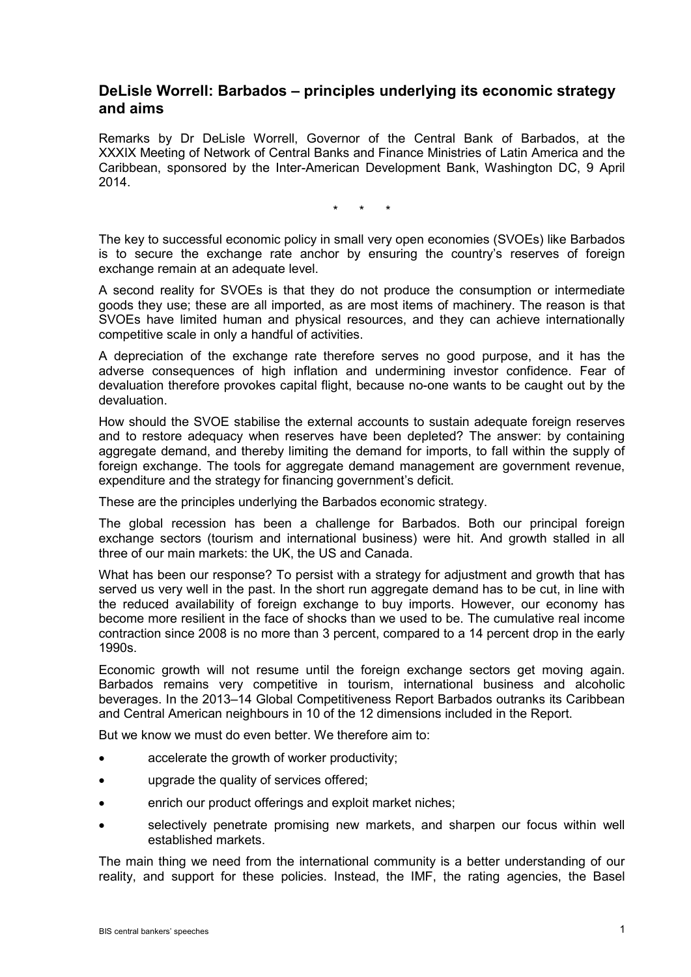## **DeLisle Worrell: Barbados – principles underlying its economic strategy and aims**

Remarks by Dr DeLisle Worrell, Governor of the Central Bank of Barbados, at the XXXIX Meeting of Network of Central Banks and Finance Ministries of Latin America and the Caribbean, sponsored by the Inter-American Development Bank, Washington DC, 9 April 2014.

\* \* \*

The key to successful economic policy in small very open economies (SVOEs) like Barbados is to secure the exchange rate anchor by ensuring the country's reserves of foreign exchange remain at an adequate level.

A second reality for SVOEs is that they do not produce the consumption or intermediate goods they use; these are all imported, as are most items of machinery. The reason is that SVOEs have limited human and physical resources, and they can achieve internationally competitive scale in only a handful of activities.

A depreciation of the exchange rate therefore serves no good purpose, and it has the adverse consequences of high inflation and undermining investor confidence. Fear of devaluation therefore provokes capital flight, because no-one wants to be caught out by the devaluation.

How should the SVOE stabilise the external accounts to sustain adequate foreign reserves and to restore adequacy when reserves have been depleted? The answer: by containing aggregate demand, and thereby limiting the demand for imports, to fall within the supply of foreign exchange. The tools for aggregate demand management are government revenue, expenditure and the strategy for financing government's deficit.

These are the principles underlying the Barbados economic strategy.

The global recession has been a challenge for Barbados. Both our principal foreign exchange sectors (tourism and international business) were hit. And growth stalled in all three of our main markets: the UK, the US and Canada.

What has been our response? To persist with a strategy for adjustment and growth that has served us very well in the past. In the short run aggregate demand has to be cut, in line with the reduced availability of foreign exchange to buy imports. However, our economy has become more resilient in the face of shocks than we used to be. The cumulative real income contraction since 2008 is no more than 3 percent, compared to a 14 percent drop in the early 1990s.

Economic growth will not resume until the foreign exchange sectors get moving again. Barbados remains very competitive in tourism, international business and alcoholic beverages. In the 2013–14 Global Competitiveness Report Barbados outranks its Caribbean and Central American neighbours in 10 of the 12 dimensions included in the Report.

But we know we must do even better. We therefore aim to:

- accelerate the growth of worker productivity;
- upgrade the quality of services offered;
- enrich our product offerings and exploit market niches;
- selectively penetrate promising new markets, and sharpen our focus within well established markets.

The main thing we need from the international community is a better understanding of our reality, and support for these policies. Instead, the IMF, the rating agencies, the Basel